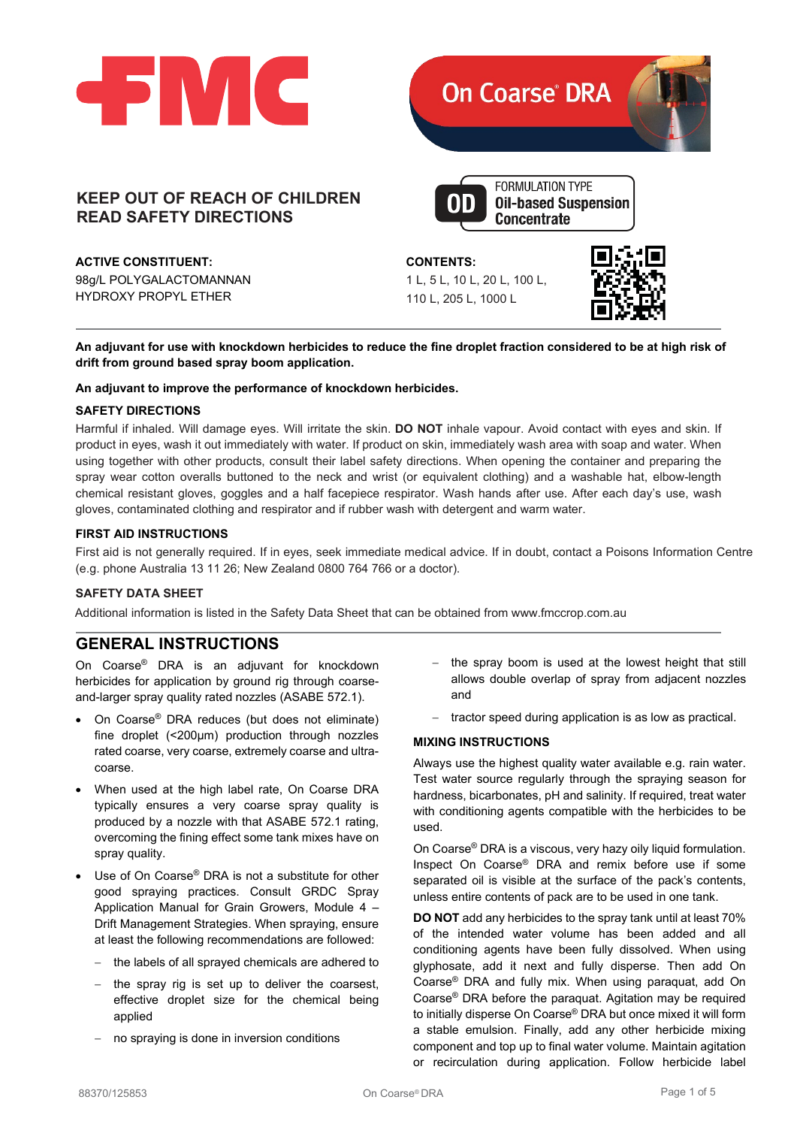

# **KEEP OUT OF REACH OF CHILDREN READ SAFETY DIRECTIONS**

**ACTIVE CONSTITUENT:**

98g/L POLYGALACTOMANNAN HYDROXY PROPYL ETHER



**An adjuvant for use with knockdown herbicides to reduce the fine droplet fraction considered to be at high risk of drift from ground based spray boom application.**

### **An adjuvant to improve the performance of knockdown herbicides.**

### **SAFETY DIRECTIONS**

Harmful if inhaled. Will damage eyes. Will irritate the skin. **DO NOT** inhale vapour. Avoid contact with eyes and skin. If product in eyes, wash it out immediately with water. If product on skin, immediately wash area with soap and water. When using together with other products, consult their label safety directions. When opening the container and preparing the spray wear cotton overalls buttoned to the neck and wrist (or equivalent clothing) and a washable hat, elbow-length chemical resistant gloves, goggles and a half facepiece respirator. Wash hands after use. After each day's use, wash gloves, contaminated clothing and respirator and if rubber wash with detergent and warm water.

### **FIRST AID INSTRUCTIONS**

First aid is not generally required. If in eyes, seek immediate medical advice. If in doubt, contact a Poisons Information Centre (e.g. phone Australia 13 11 26; New Zealand 0800 764 766 or a doctor).

# **SAFETY DATA SHEET**

Additional information is listed in the Safety Data Sheet that can be obtained from [www.fmccrop.com.au](http://www.fmccrop.com.au/)

# **GENERAL INSTRUCTIONS**

On Coarse® DRA is an adjuvant for knockdown herbicides for application by ground rig through coarseand-larger spray quality rated nozzles (ASABE 572.1).

- On Coarse® DRA reduces (but does not eliminate) fine droplet (<200μm) production through nozzles rated coarse, very coarse, extremely coarse and ultracoarse.
- When used at the high label rate, On Coarse DRA typically ensures a very coarse spray quality is produced by a nozzle with that ASABE 572.1 rating, overcoming the fining effect some tank mixes have on spray quality.
- Use of On Coarse<sup>®</sup> DRA is not a substitute for other good spraying practices. Consult GRDC Spray Application Manual for Grain Growers, Module 4 – Drift Management Strategies. When spraying, ensure at least the following recommendations are followed:
	- the labels of all sprayed chemicals are adhered to
	- the spray rig is set up to deliver the coarsest, effective droplet size for the chemical being applied
	- no spraying is done in inversion conditions
- − the spray boom is used at the lowest height that still allows double overlap of spray from adjacent nozzles and
- tractor speed during application is as low as practical.

### **MIXING INSTRUCTIONS**

Always use the highest quality water available e.g. rain water. Test water source regularly through the spraying season for hardness, bicarbonates, pH and salinity. If required, treat water with conditioning agents compatible with the herbicides to be used.

On Coarse® DRA is a viscous, very hazy oily liquid formulation. Inspect On Coarse® DRA and remix before use if some separated oil is visible at the surface of the pack's contents, unless entire contents of pack are to be used in one tank.

**DO NOT** add any herbicides to the spray tank until at least 70% of the intended water volume has been added and all conditioning agents have been fully dissolved. When using glyphosate, add it next and fully disperse. Then add On Coarse® DRA and fully mix. When using paraquat, add On Coarse® DRA before the paraquat. Agitation may be required to initially disperse On Coarse® DRA but once mixed it will form a stable emulsion. Finally, add any other herbicide mixing component and top up to final water volume. Maintain agitation or recirculation during application. Follow herbicide label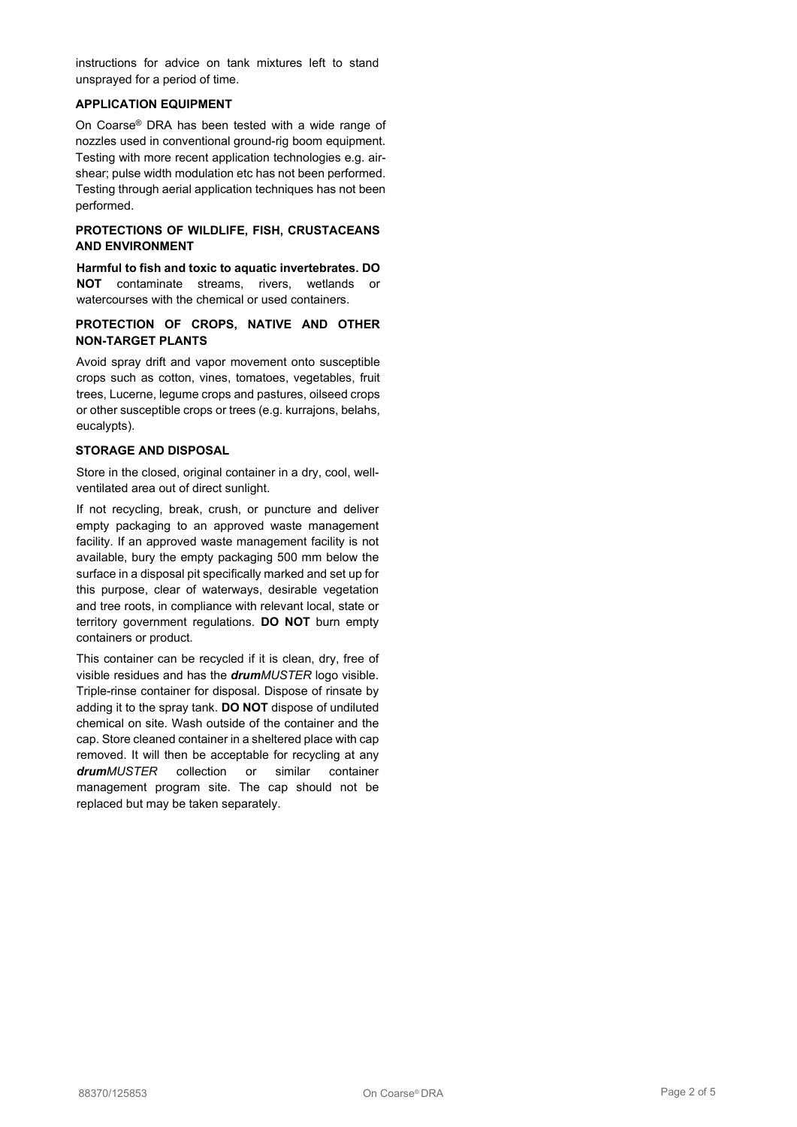instructions for advice on tank mixtures left to stand unsprayed for a period of time.

# **APPLICATION EQUIPMENT**

On Coarse® DRA has been tested with a wide range of nozzles used in conventional ground-rig boom equipment. Testing with more recent application technologies e.g. airshear; pulse width modulation etc has not been performed. Testing through aerial application techniques has not been performed.

# **PROTECTIONS OF WILDLIFE, FISH, CRUSTACEANS AND ENVIRONMENT**

**Harmful to fish and toxic to aquatic invertebrates. DO NOT** contaminate streams, rivers, wetlands or watercourses with the chemical or used containers.

# **PROTECTION OF CROPS, NATIVE AND OTHER NON-TARGET PLANTS**

Avoid spray drift and vapor movement onto susceptible crops such as cotton, vines, tomatoes, vegetables, fruit trees, Lucerne, legume crops and pastures, oilseed crops or other susceptible crops or trees (e.g. kurrajons, belahs, eucalypts).

#### **STORAGE AND DISPOSAL**

Store in the closed, original container in a dry, cool, wellventilated area out of direct sunlight.

If not recycling, break, crush, or puncture and deliver empty packaging to an approved waste management facility. If an approved waste management facility is not available, bury the empty packaging 500 mm below the surface in a disposal pit specifically marked and set up for this purpose, clear of waterways, desirable vegetation and tree roots, in compliance with relevant local, state or territory government regulations. **DO NOT** burn empty containers or product.

This container can be recycled if it is clean, dry, free of visible residues and has the *drumMUSTER* logo visible. Triple-rinse container for disposal. Dispose of rinsate by adding it to the spray tank. **DO NOT** dispose of undiluted chemical on site. Wash outside of the container and the cap. Store cleaned container in a sheltered place with cap removed. It will then be acceptable for recycling at any *drumMUSTER* collection or similar container management program site. The cap should not be replaced but may be taken separately.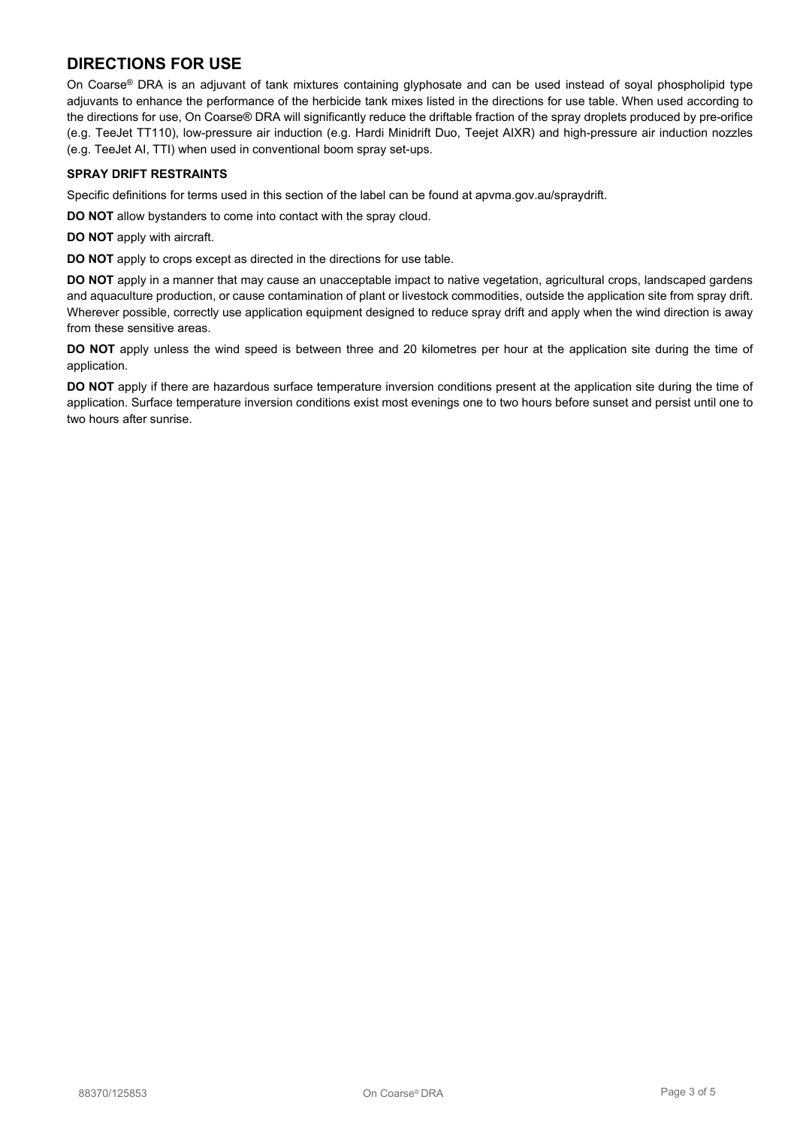# **DIRECTIONS FOR USE**

On Coarse® DRA is an adjuvant of tank mixtures containing glyphosate and can be used instead of soyal phospholipid type adjuvants to enhance the performance of the herbicide tank mixes listed in the directions for use table. When used according to the directions for use, On Coarse® DRA will significantly reduce the driftable fraction of the spray droplets produced by pre-orifice (e.g. TeeJet TT110), low-pressure air induction (e.g. Hardi Minidrift Duo, Teejet AIXR) and high-pressure air induction nozzles (e.g. TeeJet AI, TTI) when used in conventional boom spray set-ups.

### **SPRAY DRIFT RESTRAINTS**

Specific definitions for terms used in this section of the label can be found at apvma.gov.au/spraydrift.

**DO NOT** allow bystanders to come into contact with the spray cloud.

**DO NOT** apply with aircraft.

**DO NOT** apply to crops except as directed in the directions for use table.

**DO NOT** apply in a manner that may cause an unacceptable impact to native vegetation, agricultural crops, landscaped gardens and aquaculture production, or cause contamination of plant or livestock commodities, outside the application site from spray drift. Wherever possible, correctly use application equipment designed to reduce spray drift and apply when the wind direction is away from these sensitive areas.

**DO NOT** apply unless the wind speed is between three and 20 kilometres per hour at the application site during the time of application.

**DO NOT** apply if there are hazardous surface temperature inversion conditions present at the application site during the time of application. Surface temperature inversion conditions exist most evenings one to two hours before sunset and persist until one to two hours after sunrise.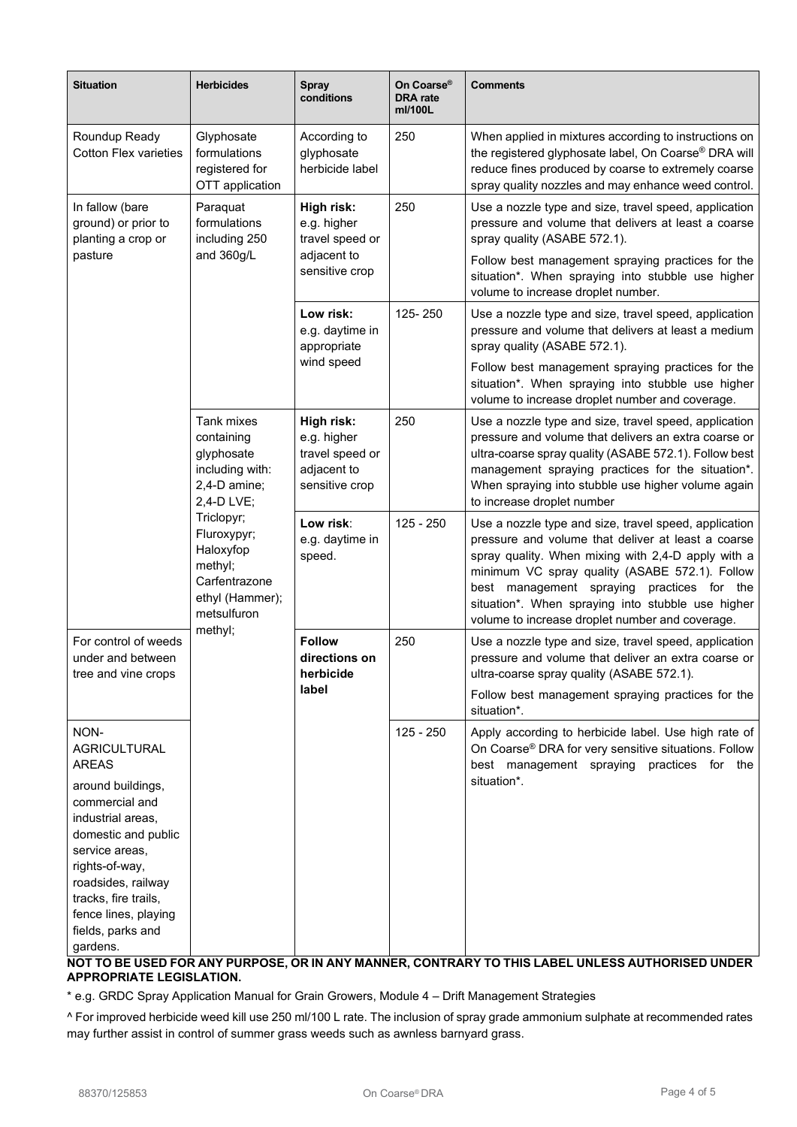| <b>Situation</b>                                                                                                                                                                          | <b>Herbicides</b>                                                                                                                                                                                          | <b>Spray</b><br>conditions                                                    | On Coarse®<br><b>DRA</b> rate<br>ml/100L | <b>Comments</b>                                                                                                                                                                                                                                                                                                                                                           |
|-------------------------------------------------------------------------------------------------------------------------------------------------------------------------------------------|------------------------------------------------------------------------------------------------------------------------------------------------------------------------------------------------------------|-------------------------------------------------------------------------------|------------------------------------------|---------------------------------------------------------------------------------------------------------------------------------------------------------------------------------------------------------------------------------------------------------------------------------------------------------------------------------------------------------------------------|
| Roundup Ready<br><b>Cotton Flex varieties</b>                                                                                                                                             | Glyphosate<br>formulations<br>registered for<br>OTT application                                                                                                                                            | According to<br>glyphosate<br>herbicide label                                 | 250                                      | When applied in mixtures according to instructions on<br>the registered glyphosate label, On Coarse® DRA will<br>reduce fines produced by coarse to extremely coarse<br>spray quality nozzles and may enhance weed control.                                                                                                                                               |
| In fallow (bare<br>ground) or prior to<br>planting a crop or<br>pasture                                                                                                                   | Paraquat<br>formulations<br>including 250<br>and 360g/L                                                                                                                                                    | High risk:<br>e.g. higher<br>travel speed or<br>adjacent to<br>sensitive crop | 250                                      | Use a nozzle type and size, travel speed, application<br>pressure and volume that delivers at least a coarse<br>spray quality (ASABE 572.1).<br>Follow best management spraying practices for the                                                                                                                                                                         |
|                                                                                                                                                                                           |                                                                                                                                                                                                            |                                                                               |                                          | situation*. When spraying into stubble use higher<br>volume to increase droplet number.                                                                                                                                                                                                                                                                                   |
|                                                                                                                                                                                           |                                                                                                                                                                                                            | Low risk:<br>e.g. daytime in<br>appropriate<br>wind speed                     | 125-250                                  | Use a nozzle type and size, travel speed, application<br>pressure and volume that delivers at least a medium<br>spray quality (ASABE 572.1).                                                                                                                                                                                                                              |
|                                                                                                                                                                                           |                                                                                                                                                                                                            |                                                                               |                                          | Follow best management spraying practices for the<br>situation*. When spraying into stubble use higher<br>volume to increase droplet number and coverage.                                                                                                                                                                                                                 |
|                                                                                                                                                                                           | Tank mixes<br>containing<br>glyphosate<br>including with:<br>2,4-D amine;<br>2,4-D LVE;<br>Triclopyr;<br>Fluroxypyr;<br>Haloxyfop<br>methyl;<br>Carfentrazone<br>ethyl (Hammer);<br>metsulfuron<br>methyl; | High risk:<br>e.g. higher<br>travel speed or<br>adjacent to<br>sensitive crop | 250                                      | Use a nozzle type and size, travel speed, application<br>pressure and volume that delivers an extra coarse or<br>ultra-coarse spray quality (ASABE 572.1). Follow best<br>management spraying practices for the situation*.<br>When spraying into stubble use higher volume again<br>to increase droplet number                                                           |
|                                                                                                                                                                                           |                                                                                                                                                                                                            | Low risk:<br>e.g. daytime in<br>speed.                                        | 125 - 250                                | Use a nozzle type and size, travel speed, application<br>pressure and volume that deliver at least a coarse<br>spray quality. When mixing with 2,4-D apply with a<br>minimum VC spray quality (ASABE 572.1). Follow<br>best management spraying practices for the<br>situation*. When spraying into stubble use higher<br>volume to increase droplet number and coverage. |
| For control of weeds<br>under and between<br>tree and vine crops                                                                                                                          |                                                                                                                                                                                                            | <b>Follow</b><br>directions on<br>herbicide<br>label                          | 250                                      | Use a nozzle type and size, travel speed, application<br>pressure and volume that deliver an extra coarse or<br>ultra-coarse spray quality (ASABE 572.1).                                                                                                                                                                                                                 |
|                                                                                                                                                                                           |                                                                                                                                                                                                            |                                                                               |                                          | Follow best management spraying practices for the<br>situation*.                                                                                                                                                                                                                                                                                                          |
| NON-<br><b>AGRICULTURAL</b><br><b>AREAS</b>                                                                                                                                               |                                                                                                                                                                                                            |                                                                               | 125 - 250                                | Apply according to herbicide label. Use high rate of<br>On Coarse® DRA for very sensitive situations. Follow<br>best management spraying practices for the                                                                                                                                                                                                                |
| around buildings,<br>commercial and<br>industrial areas,<br>domestic and public<br>service areas,<br>rights-of-way,<br>roadsides, railway<br>tracks, fire trails,<br>fence lines, playing |                                                                                                                                                                                                            |                                                                               |                                          | situation*.                                                                                                                                                                                                                                                                                                                                                               |
| fields, parks and<br>gardens.                                                                                                                                                             |                                                                                                                                                                                                            |                                                                               |                                          |                                                                                                                                                                                                                                                                                                                                                                           |

**NOT TO BE USED FOR ANY PURPOSE, OR IN ANY MANNER, CONTRARY TO THIS LABEL UNLESS AUTHORISED UNDER APPROPRIATE LEGISLATION.**

\* e.g. GRDC Spray Application Manual for Grain Growers, Module 4 – Drift Management Strategies

^ For improved herbicide weed kill use 250 ml/100 L rate. The inclusion of spray grade ammonium sulphate at recommended rates may further assist in control of summer grass weeds such as awnless barnyard grass.